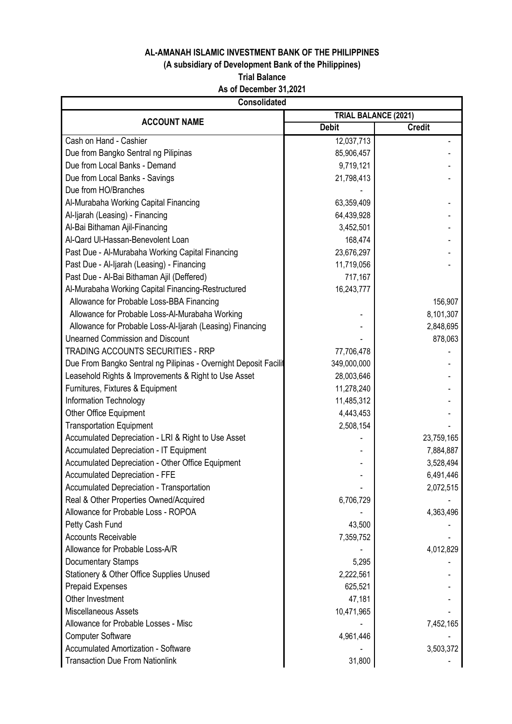# **(A subsidiary of Development Bank of the Philippines)**

**Trial Balance**

**As of December 31,2021**

| <b>Consolidated</b>                                              |              |                      |  |
|------------------------------------------------------------------|--------------|----------------------|--|
| <b>ACCOUNT NAME</b>                                              |              | TRIAL BALANCE (2021) |  |
|                                                                  | <b>Debit</b> | <b>Credit</b>        |  |
| Cash on Hand - Cashier                                           | 12,037,713   |                      |  |
| Due from Bangko Sentral ng Pilipinas                             | 85,906,457   |                      |  |
| Due from Local Banks - Demand                                    | 9,719,121    |                      |  |
| Due from Local Banks - Savings                                   | 21,798,413   |                      |  |
| Due from HO/Branches                                             |              |                      |  |
| Al-Murabaha Working Capital Financing                            | 63,359,409   |                      |  |
| Al-Ijarah (Leasing) - Financing                                  | 64,439,928   |                      |  |
| Al-Bai Bithaman Ajil-Financing                                   | 3,452,501    |                      |  |
| Al-Qard Ul-Hassan-Benevolent Loan                                | 168,474      |                      |  |
| Past Due - Al-Murabaha Working Capital Financing                 | 23,676,297   |                      |  |
| Past Due - Al-Ijarah (Leasing) - Financing                       | 11,719,056   |                      |  |
| Past Due - Al-Bai Bithaman Ajil (Deffered)                       | 717,167      |                      |  |
| Al-Murabaha Working Capital Financing-Restructured               | 16,243,777   |                      |  |
| Allowance for Probable Loss-BBA Financing                        |              | 156,907              |  |
| Allowance for Probable Loss-Al-Murabaha Working                  |              | 8,101,307            |  |
| Allowance for Probable Loss-Al-Ijarah (Leasing) Financing        |              | 2,848,695            |  |
| <b>Unearned Commission and Discount</b>                          |              | 878,063              |  |
| <b>TRADING ACCOUNTS SECURITIES - RRP</b>                         | 77,706,478   |                      |  |
| Due From Bangko Sentral ng Pilipinas - Overnight Deposit Facilit | 349,000,000  |                      |  |
| Leasehold Rights & Improvements & Right to Use Asset             | 28,003,646   |                      |  |
| Furnitures, Fixtures & Equipment                                 | 11,278,240   |                      |  |
| Information Technology                                           | 11,485,312   |                      |  |
| Other Office Equipment                                           | 4,443,453    |                      |  |
| <b>Transportation Equipment</b>                                  | 2,508,154    |                      |  |
| Accumulated Depreciation - LRI & Right to Use Asset              |              | 23,759,165           |  |
| Accumulated Depreciation - IT Equipment                          |              | 7,884,887            |  |
| Accumulated Depreciation - Other Office Equipment                |              | 3,528,494            |  |
| <b>Accumulated Depreciation - FFE</b>                            |              | 6,491,446            |  |
| <b>Accumulated Depreciation - Transportation</b>                 |              | 2,072,515            |  |
| Real & Other Properties Owned/Acquired                           | 6,706,729    |                      |  |
| Allowance for Probable Loss - ROPOA                              |              | 4,363,496            |  |
| Petty Cash Fund                                                  | 43,500       |                      |  |
| <b>Accounts Receivable</b>                                       | 7,359,752    |                      |  |
| Allowance for Probable Loss-A/R                                  |              | 4,012,829            |  |
| Documentary Stamps                                               | 5,295        |                      |  |
| Stationery & Other Office Supplies Unused                        | 2,222,561    |                      |  |
| <b>Prepaid Expenses</b>                                          | 625,521      |                      |  |
| Other Investment                                                 | 47,181       |                      |  |
| Miscellaneous Assets                                             | 10,471,965   |                      |  |
| Allowance for Probable Losses - Misc                             |              | 7,452,165            |  |
| <b>Computer Software</b>                                         | 4,961,446    |                      |  |
| <b>Accumulated Amortization - Software</b>                       |              | 3,503,372            |  |
| <b>Transaction Due From Nationlink</b>                           | 31,800       |                      |  |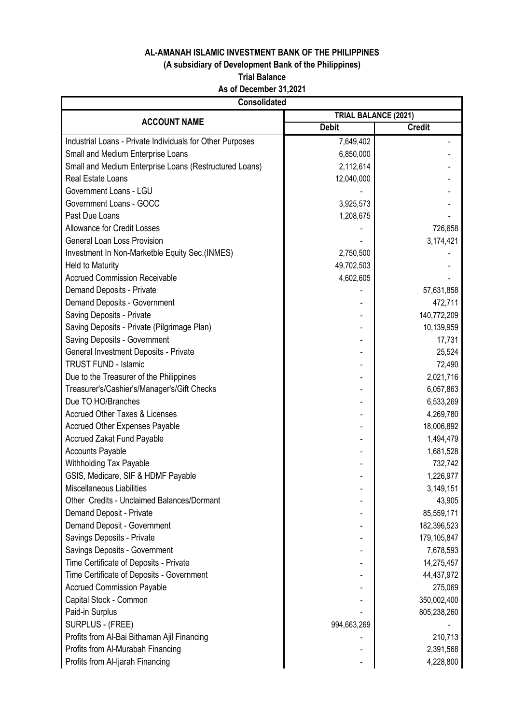# **(A subsidiary of Development Bank of the Philippines)**

#### **Trial Balance**

# **As of December 31,2021**

| TRIAL BALANCE (2021)<br><b>ACCOUNT NAME</b><br><b>Debit</b><br><b>Credit</b><br>Industrial Loans - Private Individuals for Other Purposes<br>7,649,402<br>Small and Medium Enterprise Loans<br>6,850,000<br>Small and Medium Enterprise Loans (Restructured Loans)<br>2,112,614<br>Real Estate Loans<br>12,040,000<br>Government Loans - LGU<br>Government Loans - GOCC<br>3,925,573<br>Past Due Loans<br>1,208,675<br><b>Allowance for Credit Losses</b><br>726,658<br><b>General Loan Loss Provision</b><br>3,174,421<br>Investment In Non-Marketble Equity Sec.(INMES)<br>2,750,500<br><b>Held to Maturity</b><br>49,702,503<br><b>Accrued Commission Receivable</b><br>4,602,605<br>Demand Deposits - Private<br>57,631,858<br>Demand Deposits - Government<br>472,711<br>Saving Deposits - Private<br>140,772,209<br>Saving Deposits - Private (Pilgrimage Plan)<br>10,139,959<br>Saving Deposits - Government<br>17,731<br>General Investment Deposits - Private<br>25,524<br><b>TRUST FUND - Islamic</b><br>72,490<br>Due to the Treasurer of the Philippines<br>2,021,716<br>Treasurer's/Cashier's/Manager's/Gift Checks<br>6,057,863<br>Due TO HO/Branches<br>6,533,269<br><b>Accrued Other Taxes &amp; Licenses</b><br>4,269,780<br><b>Accrued Other Expenses Payable</b><br>18,006,892<br><b>Accrued Zakat Fund Payable</b><br>1,494,479<br><b>Accounts Payable</b><br>1,681,528<br>Withholding Tax Payable<br>732,742<br>GSIS, Medicare, SIF & HDMF Payable<br>1,226,977<br><b>Miscellaneous Liabilities</b><br>3,149,151<br>Other Credits - Unclaimed Balances/Dormant<br>43,905<br>Demand Deposit - Private<br>85,559,171<br>Demand Deposit - Government<br>182,396,523<br>Savings Deposits - Private<br>179,105,847<br>Savings Deposits - Government<br>7,678,593<br>Time Certificate of Deposits - Private<br>14,275,457<br>Time Certificate of Deposits - Government<br>44,437,972<br><b>Accrued Commission Payable</b><br>275,069<br>Capital Stock - Common<br>350,002,400<br>Paid-in Surplus<br>805,238,260<br>SURPLUS - (FREE)<br>994,663,269<br>Profits from Al-Bai Bithaman Ajil Financing<br>210,713<br>Profits from Al-Murabah Financing<br>2,391,568 | <b>Consolidated</b>              |  |           |  |
|-------------------------------------------------------------------------------------------------------------------------------------------------------------------------------------------------------------------------------------------------------------------------------------------------------------------------------------------------------------------------------------------------------------------------------------------------------------------------------------------------------------------------------------------------------------------------------------------------------------------------------------------------------------------------------------------------------------------------------------------------------------------------------------------------------------------------------------------------------------------------------------------------------------------------------------------------------------------------------------------------------------------------------------------------------------------------------------------------------------------------------------------------------------------------------------------------------------------------------------------------------------------------------------------------------------------------------------------------------------------------------------------------------------------------------------------------------------------------------------------------------------------------------------------------------------------------------------------------------------------------------------------------------------------------------------------------------------------------------------------------------------------------------------------------------------------------------------------------------------------------------------------------------------------------------------------------------------------------------------------------------------------------------------------------------------------------------------------------------------------------------------------------------------------------------|----------------------------------|--|-----------|--|
|                                                                                                                                                                                                                                                                                                                                                                                                                                                                                                                                                                                                                                                                                                                                                                                                                                                                                                                                                                                                                                                                                                                                                                                                                                                                                                                                                                                                                                                                                                                                                                                                                                                                                                                                                                                                                                                                                                                                                                                                                                                                                                                                                                               |                                  |  |           |  |
|                                                                                                                                                                                                                                                                                                                                                                                                                                                                                                                                                                                                                                                                                                                                                                                                                                                                                                                                                                                                                                                                                                                                                                                                                                                                                                                                                                                                                                                                                                                                                                                                                                                                                                                                                                                                                                                                                                                                                                                                                                                                                                                                                                               |                                  |  |           |  |
|                                                                                                                                                                                                                                                                                                                                                                                                                                                                                                                                                                                                                                                                                                                                                                                                                                                                                                                                                                                                                                                                                                                                                                                                                                                                                                                                                                                                                                                                                                                                                                                                                                                                                                                                                                                                                                                                                                                                                                                                                                                                                                                                                                               |                                  |  |           |  |
|                                                                                                                                                                                                                                                                                                                                                                                                                                                                                                                                                                                                                                                                                                                                                                                                                                                                                                                                                                                                                                                                                                                                                                                                                                                                                                                                                                                                                                                                                                                                                                                                                                                                                                                                                                                                                                                                                                                                                                                                                                                                                                                                                                               |                                  |  |           |  |
|                                                                                                                                                                                                                                                                                                                                                                                                                                                                                                                                                                                                                                                                                                                                                                                                                                                                                                                                                                                                                                                                                                                                                                                                                                                                                                                                                                                                                                                                                                                                                                                                                                                                                                                                                                                                                                                                                                                                                                                                                                                                                                                                                                               |                                  |  |           |  |
|                                                                                                                                                                                                                                                                                                                                                                                                                                                                                                                                                                                                                                                                                                                                                                                                                                                                                                                                                                                                                                                                                                                                                                                                                                                                                                                                                                                                                                                                                                                                                                                                                                                                                                                                                                                                                                                                                                                                                                                                                                                                                                                                                                               |                                  |  |           |  |
|                                                                                                                                                                                                                                                                                                                                                                                                                                                                                                                                                                                                                                                                                                                                                                                                                                                                                                                                                                                                                                                                                                                                                                                                                                                                                                                                                                                                                                                                                                                                                                                                                                                                                                                                                                                                                                                                                                                                                                                                                                                                                                                                                                               |                                  |  |           |  |
|                                                                                                                                                                                                                                                                                                                                                                                                                                                                                                                                                                                                                                                                                                                                                                                                                                                                                                                                                                                                                                                                                                                                                                                                                                                                                                                                                                                                                                                                                                                                                                                                                                                                                                                                                                                                                                                                                                                                                                                                                                                                                                                                                                               |                                  |  |           |  |
|                                                                                                                                                                                                                                                                                                                                                                                                                                                                                                                                                                                                                                                                                                                                                                                                                                                                                                                                                                                                                                                                                                                                                                                                                                                                                                                                                                                                                                                                                                                                                                                                                                                                                                                                                                                                                                                                                                                                                                                                                                                                                                                                                                               |                                  |  |           |  |
|                                                                                                                                                                                                                                                                                                                                                                                                                                                                                                                                                                                                                                                                                                                                                                                                                                                                                                                                                                                                                                                                                                                                                                                                                                                                                                                                                                                                                                                                                                                                                                                                                                                                                                                                                                                                                                                                                                                                                                                                                                                                                                                                                                               |                                  |  |           |  |
|                                                                                                                                                                                                                                                                                                                                                                                                                                                                                                                                                                                                                                                                                                                                                                                                                                                                                                                                                                                                                                                                                                                                                                                                                                                                                                                                                                                                                                                                                                                                                                                                                                                                                                                                                                                                                                                                                                                                                                                                                                                                                                                                                                               |                                  |  |           |  |
|                                                                                                                                                                                                                                                                                                                                                                                                                                                                                                                                                                                                                                                                                                                                                                                                                                                                                                                                                                                                                                                                                                                                                                                                                                                                                                                                                                                                                                                                                                                                                                                                                                                                                                                                                                                                                                                                                                                                                                                                                                                                                                                                                                               |                                  |  |           |  |
|                                                                                                                                                                                                                                                                                                                                                                                                                                                                                                                                                                                                                                                                                                                                                                                                                                                                                                                                                                                                                                                                                                                                                                                                                                                                                                                                                                                                                                                                                                                                                                                                                                                                                                                                                                                                                                                                                                                                                                                                                                                                                                                                                                               |                                  |  |           |  |
|                                                                                                                                                                                                                                                                                                                                                                                                                                                                                                                                                                                                                                                                                                                                                                                                                                                                                                                                                                                                                                                                                                                                                                                                                                                                                                                                                                                                                                                                                                                                                                                                                                                                                                                                                                                                                                                                                                                                                                                                                                                                                                                                                                               |                                  |  |           |  |
|                                                                                                                                                                                                                                                                                                                                                                                                                                                                                                                                                                                                                                                                                                                                                                                                                                                                                                                                                                                                                                                                                                                                                                                                                                                                                                                                                                                                                                                                                                                                                                                                                                                                                                                                                                                                                                                                                                                                                                                                                                                                                                                                                                               |                                  |  |           |  |
|                                                                                                                                                                                                                                                                                                                                                                                                                                                                                                                                                                                                                                                                                                                                                                                                                                                                                                                                                                                                                                                                                                                                                                                                                                                                                                                                                                                                                                                                                                                                                                                                                                                                                                                                                                                                                                                                                                                                                                                                                                                                                                                                                                               |                                  |  |           |  |
|                                                                                                                                                                                                                                                                                                                                                                                                                                                                                                                                                                                                                                                                                                                                                                                                                                                                                                                                                                                                                                                                                                                                                                                                                                                                                                                                                                                                                                                                                                                                                                                                                                                                                                                                                                                                                                                                                                                                                                                                                                                                                                                                                                               |                                  |  |           |  |
|                                                                                                                                                                                                                                                                                                                                                                                                                                                                                                                                                                                                                                                                                                                                                                                                                                                                                                                                                                                                                                                                                                                                                                                                                                                                                                                                                                                                                                                                                                                                                                                                                                                                                                                                                                                                                                                                                                                                                                                                                                                                                                                                                                               |                                  |  |           |  |
|                                                                                                                                                                                                                                                                                                                                                                                                                                                                                                                                                                                                                                                                                                                                                                                                                                                                                                                                                                                                                                                                                                                                                                                                                                                                                                                                                                                                                                                                                                                                                                                                                                                                                                                                                                                                                                                                                                                                                                                                                                                                                                                                                                               |                                  |  |           |  |
|                                                                                                                                                                                                                                                                                                                                                                                                                                                                                                                                                                                                                                                                                                                                                                                                                                                                                                                                                                                                                                                                                                                                                                                                                                                                                                                                                                                                                                                                                                                                                                                                                                                                                                                                                                                                                                                                                                                                                                                                                                                                                                                                                                               |                                  |  |           |  |
|                                                                                                                                                                                                                                                                                                                                                                                                                                                                                                                                                                                                                                                                                                                                                                                                                                                                                                                                                                                                                                                                                                                                                                                                                                                                                                                                                                                                                                                                                                                                                                                                                                                                                                                                                                                                                                                                                                                                                                                                                                                                                                                                                                               |                                  |  |           |  |
|                                                                                                                                                                                                                                                                                                                                                                                                                                                                                                                                                                                                                                                                                                                                                                                                                                                                                                                                                                                                                                                                                                                                                                                                                                                                                                                                                                                                                                                                                                                                                                                                                                                                                                                                                                                                                                                                                                                                                                                                                                                                                                                                                                               |                                  |  |           |  |
|                                                                                                                                                                                                                                                                                                                                                                                                                                                                                                                                                                                                                                                                                                                                                                                                                                                                                                                                                                                                                                                                                                                                                                                                                                                                                                                                                                                                                                                                                                                                                                                                                                                                                                                                                                                                                                                                                                                                                                                                                                                                                                                                                                               |                                  |  |           |  |
|                                                                                                                                                                                                                                                                                                                                                                                                                                                                                                                                                                                                                                                                                                                                                                                                                                                                                                                                                                                                                                                                                                                                                                                                                                                                                                                                                                                                                                                                                                                                                                                                                                                                                                                                                                                                                                                                                                                                                                                                                                                                                                                                                                               |                                  |  |           |  |
|                                                                                                                                                                                                                                                                                                                                                                                                                                                                                                                                                                                                                                                                                                                                                                                                                                                                                                                                                                                                                                                                                                                                                                                                                                                                                                                                                                                                                                                                                                                                                                                                                                                                                                                                                                                                                                                                                                                                                                                                                                                                                                                                                                               |                                  |  |           |  |
|                                                                                                                                                                                                                                                                                                                                                                                                                                                                                                                                                                                                                                                                                                                                                                                                                                                                                                                                                                                                                                                                                                                                                                                                                                                                                                                                                                                                                                                                                                                                                                                                                                                                                                                                                                                                                                                                                                                                                                                                                                                                                                                                                                               |                                  |  |           |  |
|                                                                                                                                                                                                                                                                                                                                                                                                                                                                                                                                                                                                                                                                                                                                                                                                                                                                                                                                                                                                                                                                                                                                                                                                                                                                                                                                                                                                                                                                                                                                                                                                                                                                                                                                                                                                                                                                                                                                                                                                                                                                                                                                                                               |                                  |  |           |  |
|                                                                                                                                                                                                                                                                                                                                                                                                                                                                                                                                                                                                                                                                                                                                                                                                                                                                                                                                                                                                                                                                                                                                                                                                                                                                                                                                                                                                                                                                                                                                                                                                                                                                                                                                                                                                                                                                                                                                                                                                                                                                                                                                                                               |                                  |  |           |  |
|                                                                                                                                                                                                                                                                                                                                                                                                                                                                                                                                                                                                                                                                                                                                                                                                                                                                                                                                                                                                                                                                                                                                                                                                                                                                                                                                                                                                                                                                                                                                                                                                                                                                                                                                                                                                                                                                                                                                                                                                                                                                                                                                                                               |                                  |  |           |  |
|                                                                                                                                                                                                                                                                                                                                                                                                                                                                                                                                                                                                                                                                                                                                                                                                                                                                                                                                                                                                                                                                                                                                                                                                                                                                                                                                                                                                                                                                                                                                                                                                                                                                                                                                                                                                                                                                                                                                                                                                                                                                                                                                                                               |                                  |  |           |  |
|                                                                                                                                                                                                                                                                                                                                                                                                                                                                                                                                                                                                                                                                                                                                                                                                                                                                                                                                                                                                                                                                                                                                                                                                                                                                                                                                                                                                                                                                                                                                                                                                                                                                                                                                                                                                                                                                                                                                                                                                                                                                                                                                                                               |                                  |  |           |  |
|                                                                                                                                                                                                                                                                                                                                                                                                                                                                                                                                                                                                                                                                                                                                                                                                                                                                                                                                                                                                                                                                                                                                                                                                                                                                                                                                                                                                                                                                                                                                                                                                                                                                                                                                                                                                                                                                                                                                                                                                                                                                                                                                                                               |                                  |  |           |  |
|                                                                                                                                                                                                                                                                                                                                                                                                                                                                                                                                                                                                                                                                                                                                                                                                                                                                                                                                                                                                                                                                                                                                                                                                                                                                                                                                                                                                                                                                                                                                                                                                                                                                                                                                                                                                                                                                                                                                                                                                                                                                                                                                                                               |                                  |  |           |  |
|                                                                                                                                                                                                                                                                                                                                                                                                                                                                                                                                                                                                                                                                                                                                                                                                                                                                                                                                                                                                                                                                                                                                                                                                                                                                                                                                                                                                                                                                                                                                                                                                                                                                                                                                                                                                                                                                                                                                                                                                                                                                                                                                                                               |                                  |  |           |  |
|                                                                                                                                                                                                                                                                                                                                                                                                                                                                                                                                                                                                                                                                                                                                                                                                                                                                                                                                                                                                                                                                                                                                                                                                                                                                                                                                                                                                                                                                                                                                                                                                                                                                                                                                                                                                                                                                                                                                                                                                                                                                                                                                                                               |                                  |  |           |  |
|                                                                                                                                                                                                                                                                                                                                                                                                                                                                                                                                                                                                                                                                                                                                                                                                                                                                                                                                                                                                                                                                                                                                                                                                                                                                                                                                                                                                                                                                                                                                                                                                                                                                                                                                                                                                                                                                                                                                                                                                                                                                                                                                                                               |                                  |  |           |  |
|                                                                                                                                                                                                                                                                                                                                                                                                                                                                                                                                                                                                                                                                                                                                                                                                                                                                                                                                                                                                                                                                                                                                                                                                                                                                                                                                                                                                                                                                                                                                                                                                                                                                                                                                                                                                                                                                                                                                                                                                                                                                                                                                                                               |                                  |  |           |  |
|                                                                                                                                                                                                                                                                                                                                                                                                                                                                                                                                                                                                                                                                                                                                                                                                                                                                                                                                                                                                                                                                                                                                                                                                                                                                                                                                                                                                                                                                                                                                                                                                                                                                                                                                                                                                                                                                                                                                                                                                                                                                                                                                                                               |                                  |  |           |  |
|                                                                                                                                                                                                                                                                                                                                                                                                                                                                                                                                                                                                                                                                                                                                                                                                                                                                                                                                                                                                                                                                                                                                                                                                                                                                                                                                                                                                                                                                                                                                                                                                                                                                                                                                                                                                                                                                                                                                                                                                                                                                                                                                                                               |                                  |  |           |  |
|                                                                                                                                                                                                                                                                                                                                                                                                                                                                                                                                                                                                                                                                                                                                                                                                                                                                                                                                                                                                                                                                                                                                                                                                                                                                                                                                                                                                                                                                                                                                                                                                                                                                                                                                                                                                                                                                                                                                                                                                                                                                                                                                                                               |                                  |  |           |  |
|                                                                                                                                                                                                                                                                                                                                                                                                                                                                                                                                                                                                                                                                                                                                                                                                                                                                                                                                                                                                                                                                                                                                                                                                                                                                                                                                                                                                                                                                                                                                                                                                                                                                                                                                                                                                                                                                                                                                                                                                                                                                                                                                                                               |                                  |  |           |  |
|                                                                                                                                                                                                                                                                                                                                                                                                                                                                                                                                                                                                                                                                                                                                                                                                                                                                                                                                                                                                                                                                                                                                                                                                                                                                                                                                                                                                                                                                                                                                                                                                                                                                                                                                                                                                                                                                                                                                                                                                                                                                                                                                                                               |                                  |  |           |  |
|                                                                                                                                                                                                                                                                                                                                                                                                                                                                                                                                                                                                                                                                                                                                                                                                                                                                                                                                                                                                                                                                                                                                                                                                                                                                                                                                                                                                                                                                                                                                                                                                                                                                                                                                                                                                                                                                                                                                                                                                                                                                                                                                                                               |                                  |  |           |  |
|                                                                                                                                                                                                                                                                                                                                                                                                                                                                                                                                                                                                                                                                                                                                                                                                                                                                                                                                                                                                                                                                                                                                                                                                                                                                                                                                                                                                                                                                                                                                                                                                                                                                                                                                                                                                                                                                                                                                                                                                                                                                                                                                                                               |                                  |  |           |  |
|                                                                                                                                                                                                                                                                                                                                                                                                                                                                                                                                                                                                                                                                                                                                                                                                                                                                                                                                                                                                                                                                                                                                                                                                                                                                                                                                                                                                                                                                                                                                                                                                                                                                                                                                                                                                                                                                                                                                                                                                                                                                                                                                                                               | Profits from Al-Ijarah Financing |  | 4,228,800 |  |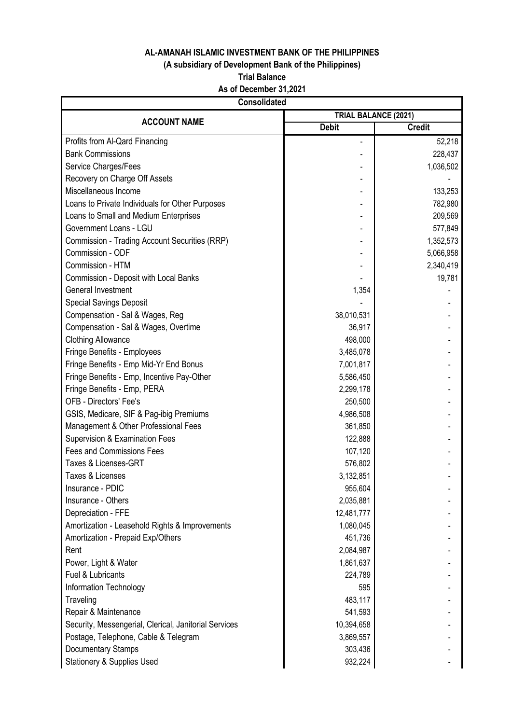# **(A subsidiary of Development Bank of the Philippines)**

**Trial Balance**

**As of December 31,2021**

|                                                       | <b>Consolidated</b> |                             |  |  |  |
|-------------------------------------------------------|---------------------|-----------------------------|--|--|--|
| <b>ACCOUNT NAME</b>                                   |                     | <b>TRIAL BALANCE (2021)</b> |  |  |  |
|                                                       | <b>Debit</b>        | <b>Credit</b>               |  |  |  |
| Profits from Al-Qard Financing                        |                     | 52,218                      |  |  |  |
| <b>Bank Commissions</b>                               |                     | 228,437                     |  |  |  |
| Service Charges/Fees                                  |                     | 1,036,502                   |  |  |  |
| Recovery on Charge Off Assets                         |                     |                             |  |  |  |
| Miscellaneous Income                                  |                     | 133,253                     |  |  |  |
| Loans to Private Individuals for Other Purposes       |                     | 782,980                     |  |  |  |
| Loans to Small and Medium Enterprises                 |                     | 209,569                     |  |  |  |
| Government Loans - LGU                                |                     | 577,849                     |  |  |  |
| Commission - Trading Account Securities (RRP)         |                     | 1,352,573                   |  |  |  |
| Commission - ODF                                      |                     | 5,066,958                   |  |  |  |
| Commission - HTM                                      |                     | 2,340,419                   |  |  |  |
| Commission - Deposit with Local Banks                 |                     | 19,781                      |  |  |  |
| General Investment                                    | 1,354               |                             |  |  |  |
| <b>Special Savings Deposit</b>                        |                     |                             |  |  |  |
| Compensation - Sal & Wages, Reg                       | 38,010,531          |                             |  |  |  |
| Compensation - Sal & Wages, Overtime                  | 36,917              |                             |  |  |  |
| <b>Clothing Allowance</b>                             | 498,000             |                             |  |  |  |
| Fringe Benefits - Employees                           | 3,485,078           |                             |  |  |  |
| Fringe Benefits - Emp Mid-Yr End Bonus                | 7,001,817           |                             |  |  |  |
| Fringe Benefits - Emp, Incentive Pay-Other            | 5,586,450           |                             |  |  |  |
| Fringe Benefits - Emp, PERA                           | 2,299,178           |                             |  |  |  |
| OFB - Directors' Fee's                                | 250,500             |                             |  |  |  |
| GSIS, Medicare, SIF & Pag-ibig Premiums               | 4,986,508           |                             |  |  |  |
| Management & Other Professional Fees                  | 361,850             |                             |  |  |  |
| Supervision & Examination Fees                        | 122,888             |                             |  |  |  |
| <b>Fees and Commissions Fees</b>                      | 107,120             |                             |  |  |  |
| Taxes & Licenses-GRT                                  | 576,802             |                             |  |  |  |
| Taxes & Licenses                                      | 3,132,851           |                             |  |  |  |
| Insurance - PDIC                                      | 955,604             |                             |  |  |  |
| Insurance - Others                                    | 2,035,881           |                             |  |  |  |
| Depreciation - FFE                                    | 12,481,777          |                             |  |  |  |
| Amortization - Leasehold Rights & Improvements        | 1,080,045           |                             |  |  |  |
| Amortization - Prepaid Exp/Others                     | 451,736             |                             |  |  |  |
| Rent                                                  | 2,084,987           |                             |  |  |  |
| Power, Light & Water                                  | 1,861,637           |                             |  |  |  |
| Fuel & Lubricants                                     | 224,789             |                             |  |  |  |
| Information Technology                                | 595                 |                             |  |  |  |
| Traveling                                             | 483,117             |                             |  |  |  |
| Repair & Maintenance                                  | 541,593             |                             |  |  |  |
| Security, Messengerial, Clerical, Janitorial Services | 10,394,658          |                             |  |  |  |
| Postage, Telephone, Cable & Telegram                  | 3,869,557           |                             |  |  |  |
| <b>Documentary Stamps</b>                             | 303,436             |                             |  |  |  |
| <b>Stationery &amp; Supplies Used</b>                 | 932,224             |                             |  |  |  |